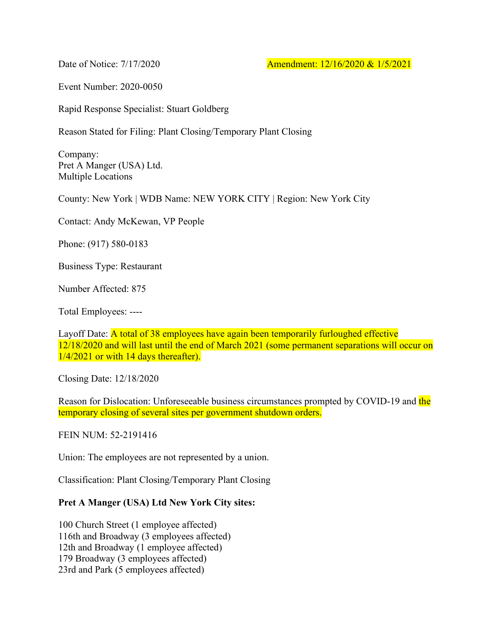Date of Notice: 7/17/2020 **Amendment: 12/16/2020 & 1/5/2021** 

Event Number: 2020-0050

Rapid Response Specialist: Stuart Goldberg

Reason Stated for Filing: Plant Closing/Temporary Plant Closing

Company: Pret A Manger (USA) Ltd. Multiple Locations

County: New York | WDB Name: NEW YORK CITY | Region: New York City

Contact: Andy McKewan, VP People

Phone: (917) 580-0183

Business Type: Restaurant

Number Affected: 875

Total Employees: ----

Layoff Date: A total of 38 employees have again been temporarily furloughed effective 12/18/2020 and will last until the end of March 2021 (some permanent separations will occur on 1/4/2021 or with 14 days thereafter).

Closing Date: 12/18/2020

Reason for Dislocation: Unforeseeable business circumstances prompted by COVID-19 and the temporary closing of several sites per government shutdown orders.

FEIN NUM: 52-2191416

Union: The employees are not represented by a union.

Classification: Plant Closing/Temporary Plant Closing

## **Pret A Manger (USA) Ltd New York City sites:**

100 Church Street (1 employee affected) 116th and Broadway (3 employees affected) 12th and Broadway (1 employee affected) 179 Broadway (3 employees affected) 23rd and Park (5 employees affected)